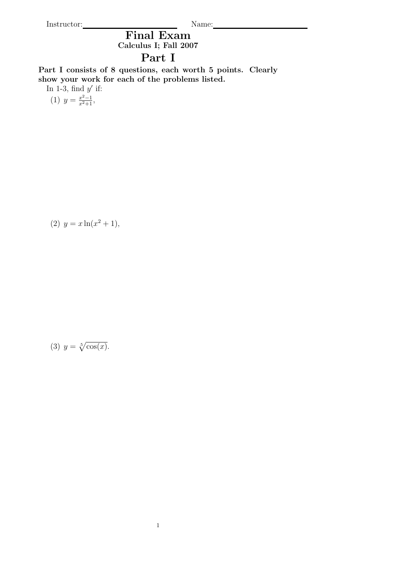Instructor: Name:

Final Exam Calculus I; Fall 2007

## Part I

Part I consists of 8 questions, each worth 5 points. Clearly show your work for each of the problems listed.

In 1-3, find  $y'$  if:

(1)  $y = \frac{x^2 - 1}{x^2 + 1}$ ,

(2)  $y = x \ln(x^2 + 1),$ 

(3)  $y = \sqrt[5]{\cos(x)}$ .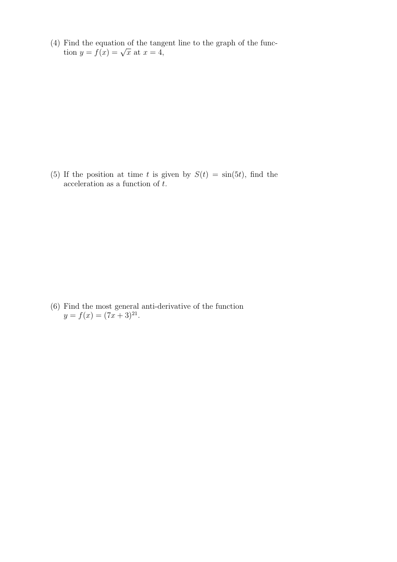(4) Find the equation of the tangent line to the graph of the funcr ind the equation of the tange<br>tion  $y = f(x) = \sqrt{x}$  at  $x = 4$ ,

(5) If the position at time t is given by  $S(t) = \sin(5t)$ , find the acceleration as a function of  $\tilde{t}$ .

(6) Find the most general anti-derivative of the function  $y = f(x) = (7x + 3)^{21}.$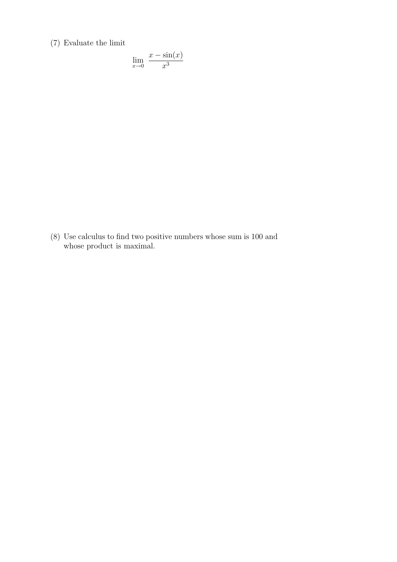(7) Evaluate the limit

$$
\lim_{x \to 0} \frac{x - \sin(x)}{x^3}
$$

(8) Use calculus to find two positive numbers whose sum is 100 and whose product is maximal.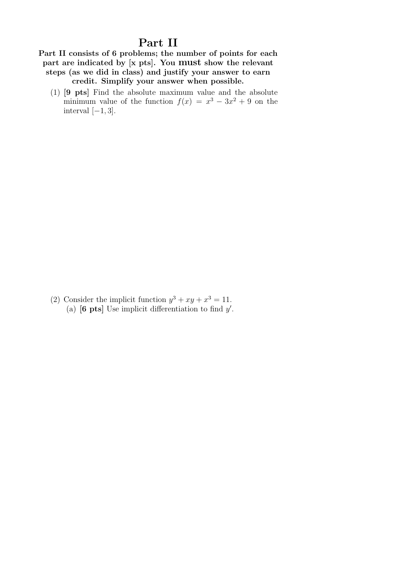## Part II

Part II consists of 6 problems; the number of points for each part are indicated by [x pts]. You must show the relevant steps (as we did in class) and justify your answer to earn credit. Simplify your answer when possible.

(1) [9 pts] Find the absolute maximum value and the absolute minimum value of the function  $f(x) = x^3 - 3x^2 + 9$  on the interval  $[-1, 3]$ .

(2) Consider the implicit function  $y^3 + xy + x^3 = 11$ . (a)  $\begin{bmatrix} 6 \text{ pts} \end{bmatrix}$  Use implicit differentiation to find y'.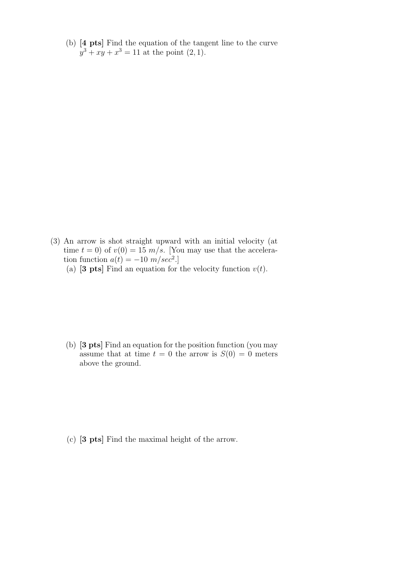(b) [4 pts] Find the equation of the tangent line to the curve  $y^3 + xy + x^3 = 11$  at the point  $(2, 1)$ .

- (3) An arrow is shot straight upward with an initial velocity (at time  $t = 0$ ) of  $v(0) = 15$   $m/s$ . [You may use that the acceleration function  $a(t) = -10 \ m/sec^2$ .
	- (a) [3 pts] Find an equation for the velocity function  $v(t)$ .

(b) [3 pts] Find an equation for the position function (you may assume that at time  $t = 0$  the arrow is  $S(0) = 0$  meters above the ground.

(c) [3 pts] Find the maximal height of the arrow.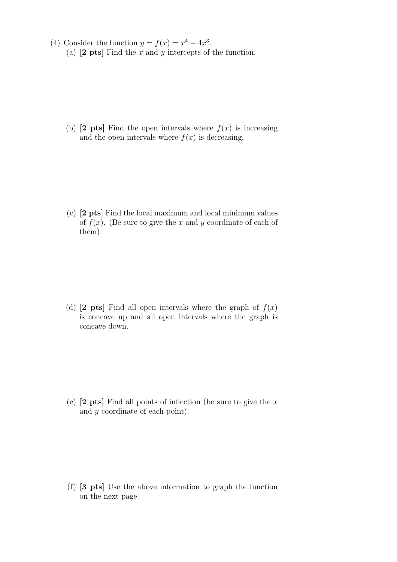(4) Consider the function  $y = f(x) = x^4 - 4x^3$ . (a)  $[2 \text{ pts}]$  Find the x and y intercepts of the function.

(b)  $[2 \text{pts}]$  Find the open intervals where  $f(x)$  is increasing and the open intervals where  $f(x)$  is decreasing,

(c) [2 pts] Find the local maximum and local minimum values of  $f(x)$ . (Be sure to give the x and y coordinate of each of them).

(d) [2 pts] Find all open intervals where the graph of  $f(x)$ is concave up and all open intervals where the graph is concave down.

(e)  $[2 \text{ pts}]$  Find all points of inflection (be sure to give the x and y coordinate of each point).

(f) [3 pts] Use the above information to graph the function on the next page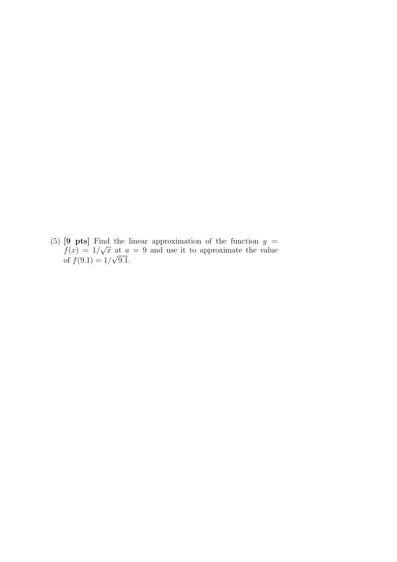(5) [9 pts] Find the linear approximation of the function  $y =$  $f(x) = 1/$ √  $\bar{x}$  at  $a = 9$  and use it to approximate the value of  $f(9.1) = 1/$ √ 9.1.